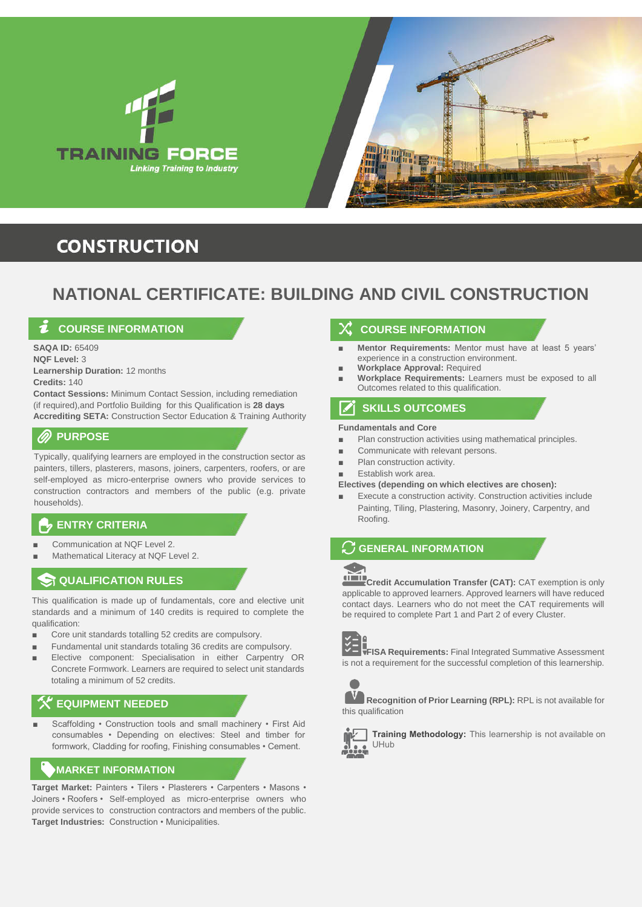



# **CONSTRUCTION**

# **NATIONAL CERTIFICATE: BUILDING AND CIVIL CONSTRUCTION**

# *L* COURSE INFORMATION

**SAQA ID:** 65409 **NQF Level:** 3 **Learnership Duration:** 12 months **Credits:** 140

**Contact Sessions:** Minimum Contact Session, including remediation (if required),and Portfolio Building for this Qualification is **28 days Accrediting SETA:** Construction Sector Education & Training Authority

# **PURPOSE**

Typically, qualifying learners are employed in the construction sector as painters, tillers, plasterers, masons, joiners, carpenters, roofers, or are self-employed as micro-enterprise owners who provide services to construction contractors and members of the public (e.g. private households).

# **ENTRY CRITERIA**

- Communication at NQF Level 2.
- Mathematical Literacy at NQF Level 2.

# **QUALIFICATION RULES**

This qualification is made up of fundamentals, core and elective unit standards and a minimum of 140 credits is required to complete the qualification:

- Core unit standards totalling 52 credits are compulsory.
- Fundamental unit standards totaling 36 credits are compulsory.
- Elective component: Specialisation in either Carpentry OR Concrete Formwork. Learners are required to select unit standards totaling a minimum of 52 credits.

# **EQUIPMENT NEEDED**

Scaffolding • Construction tools and small machinery • First Aid consumables • Depending on electives: Steel and timber for formwork, Cladding for roofing, Finishing consumables • Cement.

## **MARKET INFORMATION**

**Target Market:** Painters • Tilers • Plasterers • Carpenters • Masons • Joiners • Roofers • Self-employed as micro-enterprise owners who provide services to construction contractors and members of the public. **Target Industries:** Construction • Municipalities.

## **COURSE INFORMATION**

- **Mentor Requirements:** Mentor must have at least 5 years' experience in a construction environment.
- **Workplace Approval:** Required
- **Workplace Requirements:** Learners must be exposed to all Outcomes related to this qualification.

## **EXECUTE:** SKILLS OUTCOMES

### **Fundamentals and Core**

- Plan construction activities using mathematical principles.
- Communicate with relevant persons.
- Plan construction activity.
- Establish work area.

### **Electives (depending on which electives are chosen):**

Execute a construction activity. Construction activities include Painting, Tiling, Plastering, Masonry, Joinery, Carpentry, and Roofing.

## **GENERAL INFORMATION**



**Credit Accumulation Transfer (CAT):** CAT exemption is only applicable to approved learners. Approved learners will have reduced contact days. Learners who do not meet the CAT requirements will be required to complete Part 1 and Part 2 of every Cluster.



**FISA Requirements:** Final Integrated Summative Assessment is not a requirement for the successful completion of this learnership.

**Recognition of Prior Learning (RPL):** RPL is not available for this qualification



**Training Methodology:** This learnership is not available on UHub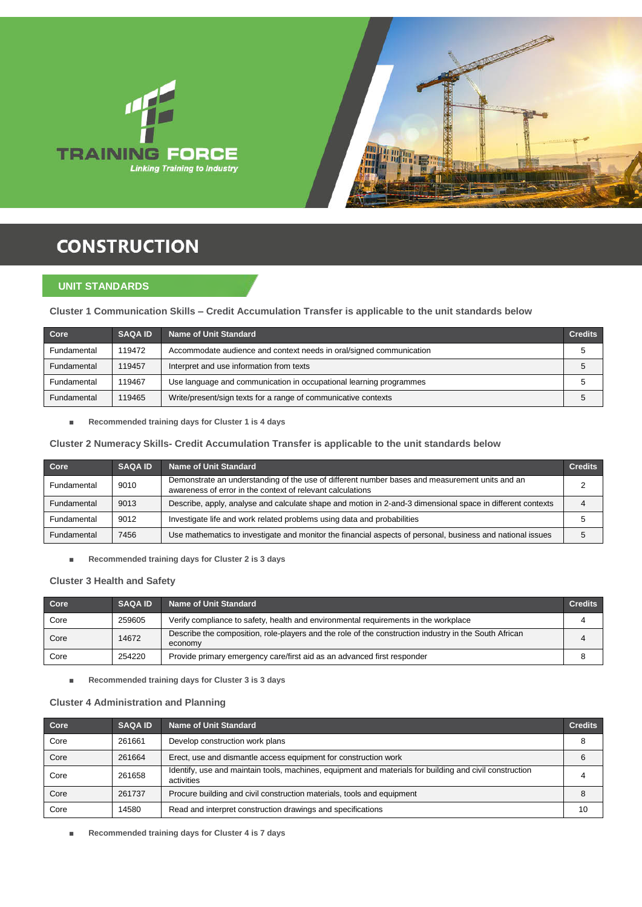



# **CONSTRUCTION**

### **UNIT STANDARDS**

### **Cluster 1 Communication Skills – Credit Accumulation Transfer is applicable to the unit standards below**

| Core        | <b>SAQA ID</b> | Name of Unit Standard                                               | <b>Credits</b> |
|-------------|----------------|---------------------------------------------------------------------|----------------|
| Fundamental | 119472         | Accommodate audience and context needs in oral/signed communication |                |
| Fundamental | 119457         | Interpret and use information from texts                            |                |
| Fundamental | 119467         | Use language and communication in occupational learning programmes  |                |
| Fundamental | 119465         | Write/present/sign texts for a range of communicative contexts      |                |

■ **Recommended training days for Cluster 1 is 4 days**

### **Cluster 2 Numeracy Skills- Credit Accumulation Transfer is applicable to the unit standards below**

| Core        | <b>SAQA ID</b> | <b>Name of Unit Standard</b>                                                                                                                                 | <b>Credits</b> |
|-------------|----------------|--------------------------------------------------------------------------------------------------------------------------------------------------------------|----------------|
| Fundamental | 9010           | Demonstrate an understanding of the use of different number bases and measurement units and an<br>awareness of error in the context of relevant calculations |                |
| Fundamental | 9013           | Describe, apply, analyse and calculate shape and motion in 2-and-3 dimensional space in different contexts                                                   |                |
| Fundamental | 9012           | Investigate life and work related problems using data and probabilities                                                                                      |                |
| Fundamental | 7456           | Use mathematics to investigate and monitor the financial aspects of personal, business and national issues                                                   |                |

■ **Recommended training days for Cluster 2 is 3 days**

### **Cluster 3 Health and Safety**

| Core | <b>SAQA ID</b> | Name of Unit Standard                                                                                            | <b>Credits</b> |
|------|----------------|------------------------------------------------------------------------------------------------------------------|----------------|
| Core | 259605         | Verify compliance to safety, health and environmental requirements in the workplace                              |                |
| Core | 14672          | Describe the composition, role-players and the role of the construction industry in the South African<br>economy |                |
| Core | 254220         | Provide primary emergency care/first aid as an advanced first responder                                          |                |

■ **Recommended training days for Cluster 3 is 3 days**

### **Cluster 4 Administration and Planning**

| Core | <b>SAQA ID</b> | <b>Name of Unit Standard</b>                                                                                          | <b>Credits</b> |
|------|----------------|-----------------------------------------------------------------------------------------------------------------------|----------------|
| Core | 261661         | Develop construction work plans                                                                                       |                |
| Core | 261664         | Erect, use and dismantle access equipment for construction work                                                       |                |
| Core | 261658         | Identify, use and maintain tools, machines, equipment and materials for building and civil construction<br>activities |                |
| Core | 261737         | Procure building and civil construction materials, tools and equipment                                                |                |
| Core | 14580          | Read and interpret construction drawings and specifications                                                           | 10             |

■ **Recommended training days for Cluster 4 is 7 days**